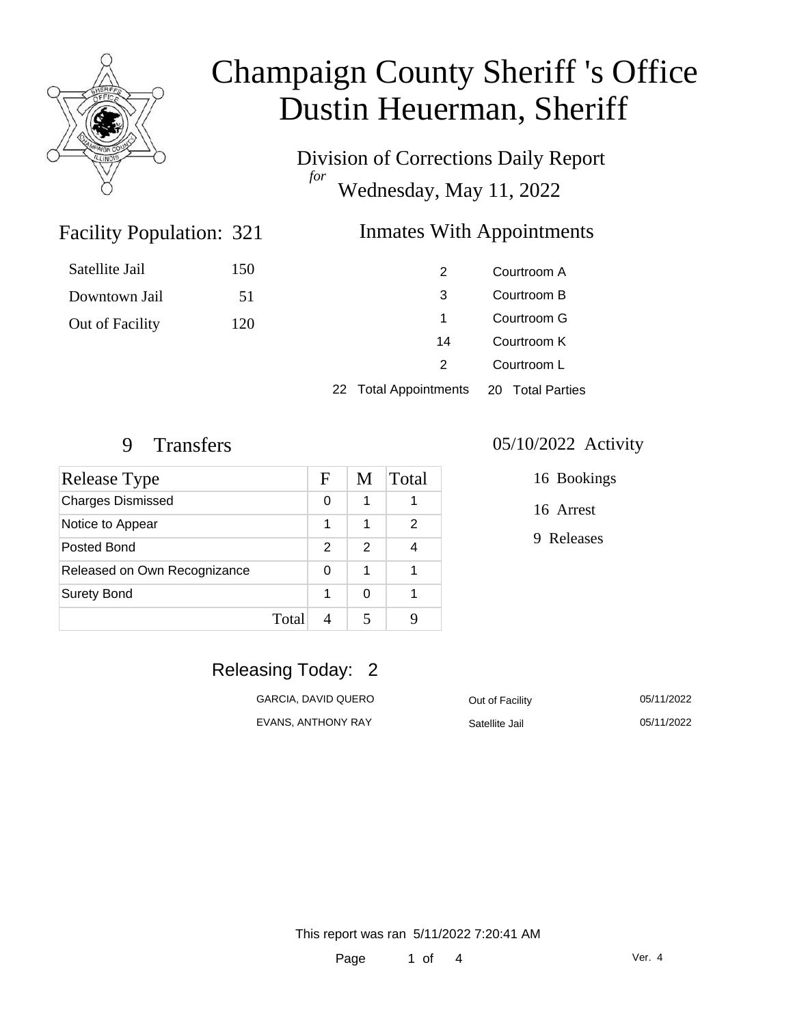

# Champaign County Sheriff 's Office Dustin Heuerman, Sheriff

Division of Corrections Daily Report *for* Wednesday, May 11, 2022

### Inmates With Appointments

| Satellite Jail  | 150 | 2  | Courtroom A |
|-----------------|-----|----|-------------|
| Downtown Jail   | 51  | 3  | Courtroom B |
| Out of Facility | 120 |    | Courtroom G |
|                 |     | 14 | Courtroom K |
|                 |     |    | Courtroom L |

22 Total Appointments 20 Total Parties

Facility Population: 321

| Release Type                 |       | F             | M | Total |
|------------------------------|-------|---------------|---|-------|
| <b>Charges Dismissed</b>     |       | 0             | 1 |       |
| Notice to Appear             |       | 1             | 1 | 2     |
| Posted Bond                  |       | $\mathcal{P}$ | 2 |       |
| Released on Own Recognizance |       | 0             | 1 |       |
| <b>Surety Bond</b>           |       | 1             | ∩ |       |
|                              | Total |               |   |       |

#### 9 Transfers 05/10/2022 Activity

16 Bookings

16 Arrest

9 Releases

### Releasing Today: 2

| GARCIA, DAVID QUERO | Out of Facility | 05/11/2022 |
|---------------------|-----------------|------------|
| EVANS, ANTHONY RAY  | Satellite Jail  | 05/11/2022 |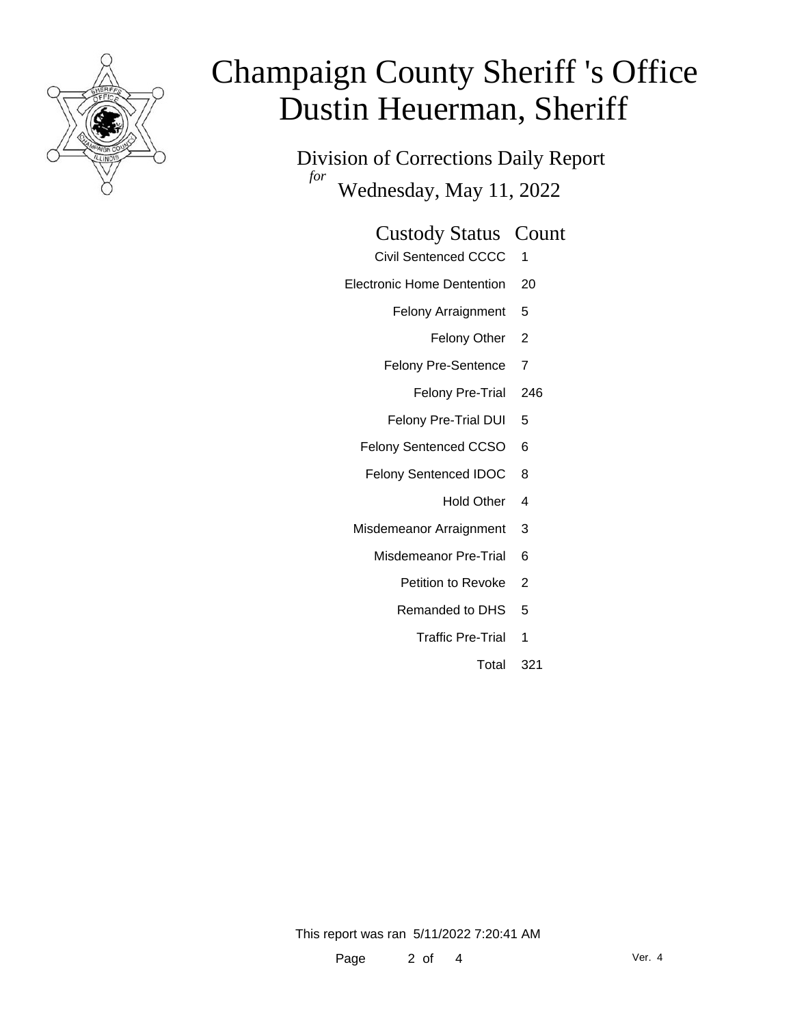

# Champaign County Sheriff 's Office Dustin Heuerman, Sheriff

Division of Corrections Daily Report *for* Wednesday, May 11, 2022

# Custody Status Count

- Civil Sentenced CCCC 1
- Electronic Home Dentention 20
	- Felony Arraignment 5
		- Felony Other 2
	- Felony Pre-Sentence 7
		- Felony Pre-Trial 246
	- Felony Pre-Trial DUI 5
	- Felony Sentenced CCSO 6
	- Felony Sentenced IDOC 8
		- Hold Other 4
	- Misdemeanor Arraignment 3
		- Misdemeanor Pre-Trial 6
			- Petition to Revoke 2
			- Remanded to DHS 5
				- Traffic Pre-Trial 1
					- Total 321

This report was ran 5/11/2022 7:20:41 AM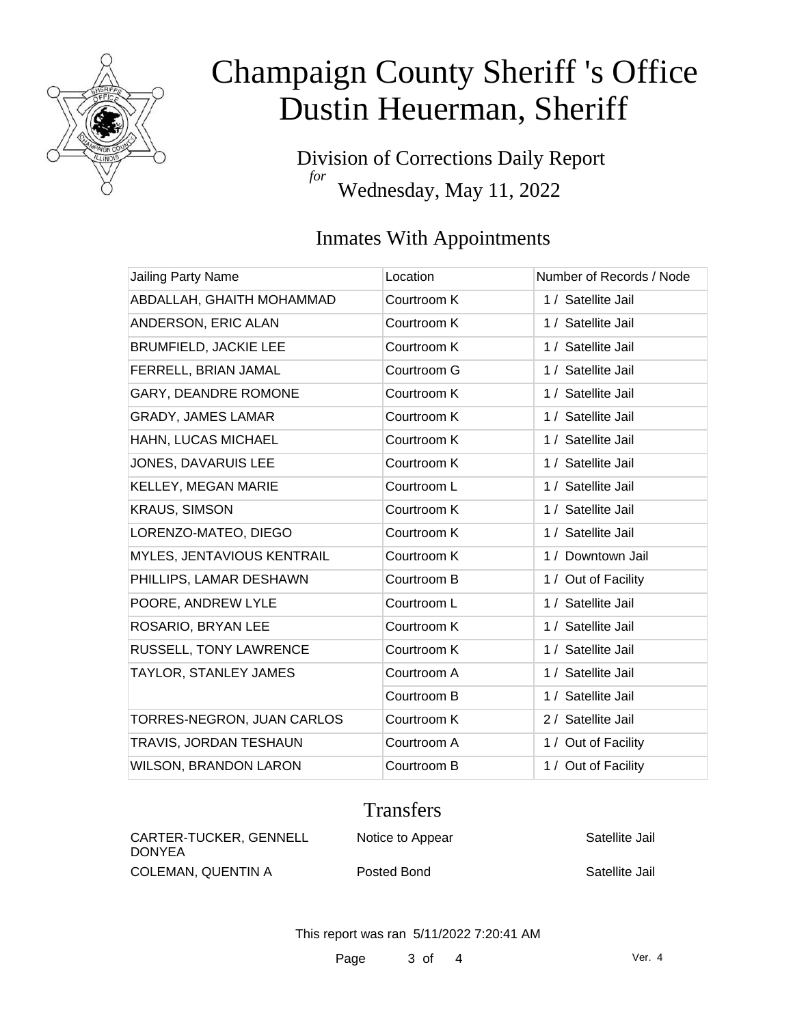

# Champaign County Sheriff 's Office Dustin Heuerman, Sheriff

Division of Corrections Daily Report *for* Wednesday, May 11, 2022

## Inmates With Appointments

| <b>Jailing Party Name</b>    | Location    | Number of Records / Node |
|------------------------------|-------------|--------------------------|
| ABDALLAH, GHAITH MOHAMMAD    | Courtroom K | 1 / Satellite Jail       |
| ANDERSON, ERIC ALAN          | Courtroom K | 1 / Satellite Jail       |
| <b>BRUMFIELD, JACKIE LEE</b> | Courtroom K | 1 / Satellite Jail       |
| FERRELL, BRIAN JAMAL         | Courtroom G | 1 / Satellite Jail       |
| GARY, DEANDRE ROMONE         | Courtroom K | 1 / Satellite Jail       |
| <b>GRADY, JAMES LAMAR</b>    | Courtroom K | 1 / Satellite Jail       |
| HAHN, LUCAS MICHAEL          | Courtroom K | 1 / Satellite Jail       |
| JONES, DAVARUIS LEE          | Courtroom K | 1 / Satellite Jail       |
| KELLEY, MEGAN MARIE          | Courtroom L | 1 / Satellite Jail       |
| <b>KRAUS, SIMSON</b>         | Courtroom K | 1 / Satellite Jail       |
| LORENZO-MATEO, DIEGO         | Courtroom K | 1 / Satellite Jail       |
| MYLES, JENTAVIOUS KENTRAIL   | Courtroom K | 1 / Downtown Jail        |
| PHILLIPS, LAMAR DESHAWN      | Courtroom B | 1 / Out of Facility      |
| POORE, ANDREW LYLE           | Courtroom L | 1 / Satellite Jail       |
| ROSARIO, BRYAN LEE           | Courtroom K | 1 / Satellite Jail       |
| RUSSELL, TONY LAWRENCE       | Courtroom K | 1 / Satellite Jail       |
| TAYLOR, STANLEY JAMES        | Courtroom A | 1 / Satellite Jail       |
|                              | Courtroom B | 1 / Satellite Jail       |
| TORRES-NEGRON, JUAN CARLOS   | Courtroom K | 2 / Satellite Jail       |
| TRAVIS, JORDAN TESHAUN       | Courtroom A | 1 / Out of Facility      |
| <b>WILSON, BRANDON LARON</b> | Courtroom B | 1 / Out of Facility      |

### **Transfers**

| CARTER-TUCKER, GENNELL<br><b>DONYEA</b> | Notice to Appear | Satellite Jail |
|-----------------------------------------|------------------|----------------|
| COLEMAN, QUENTIN A                      | Posted Bond      | Satellite Jail |

This report was ran 5/11/2022 7:20:41 AM